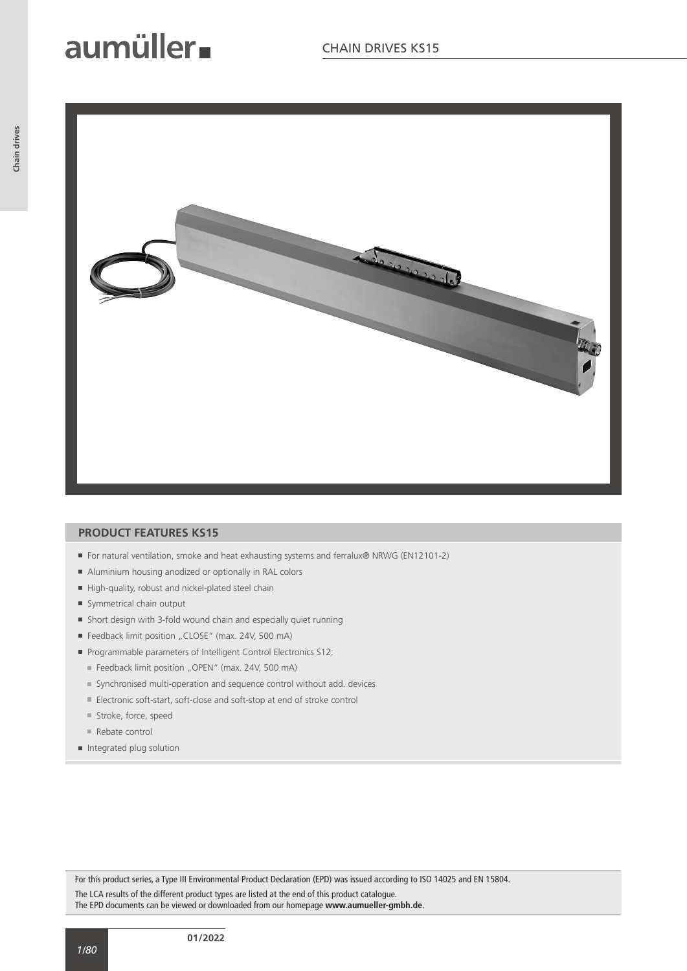

### **PRODUCT FEATURES KS15**

- For natural ventilation, smoke and heat exhausting systems and ferralux® NRWG (EN12101-2)
- Aluminium housing anodized or optionally in RAL colors
- High-quality, robust and nickel-plated steel chain
- Symmetrical chain output
- Short design with 3-fold wound chain and especially quiet running
- Feedback limit position "CLOSE" (max. 24V, 500 mA)
- **Programmable parameters of Intelligent Control Electronics S12:** 
	- Feedback limit position "OPEN" (max. 24V, 500 mA)
	- Synchronised multi-operation and sequence control without add. devices
	- Electronic soft-start, soft-close and soft-stop at end of stroke control
	- Stroke, force, speed
	- Rebate control
- Integrated plug solution

For this product series, a Type III Environmental Product Declaration (EPD) was issued according to ISO 14025 and EN 15804. The LCA results of the different product types are listed at the end of this product catalogue. The EPD documents can be viewed or downloaded from our homepage **www.aumueller-gmbh.de**.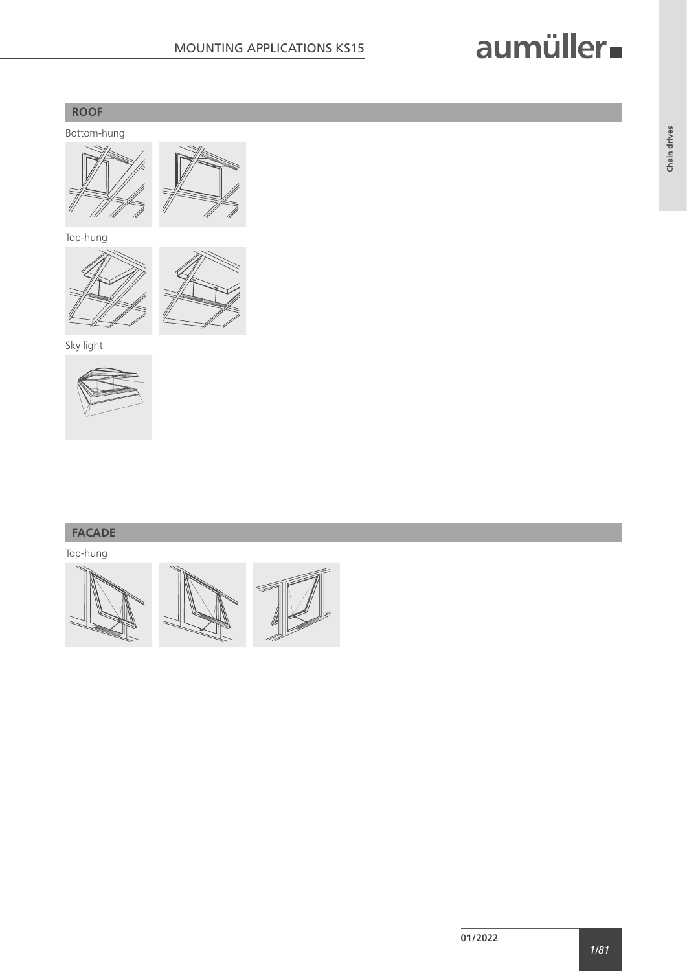### **ROOF**

Bottom-hung





Top-hung





Sky light



### **FACADE**

Top-hung

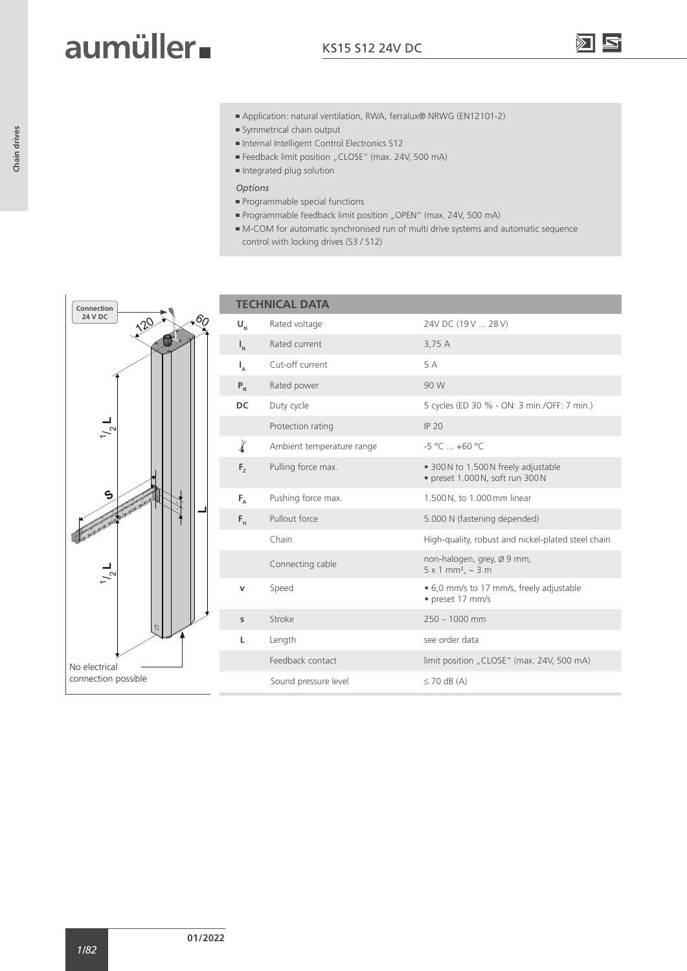- Application: natural ventilation, RWA, ferralux® NRWG (EN12101-2)
- Symmetrical chain output
- Internal Intelligent Control Electronics S12
- Feedback limit position "CLOSE" (max. 24V, 500 mA)
- Integrated plug solution
- *Options*
- Programmable special functions
- Programmable feedback limit position "OPEN" (max. 24V, 500 mA)
- M-COM for automatic synchronised run of multi drive systems and automatic sequence control with locking drives (S3 / S12)

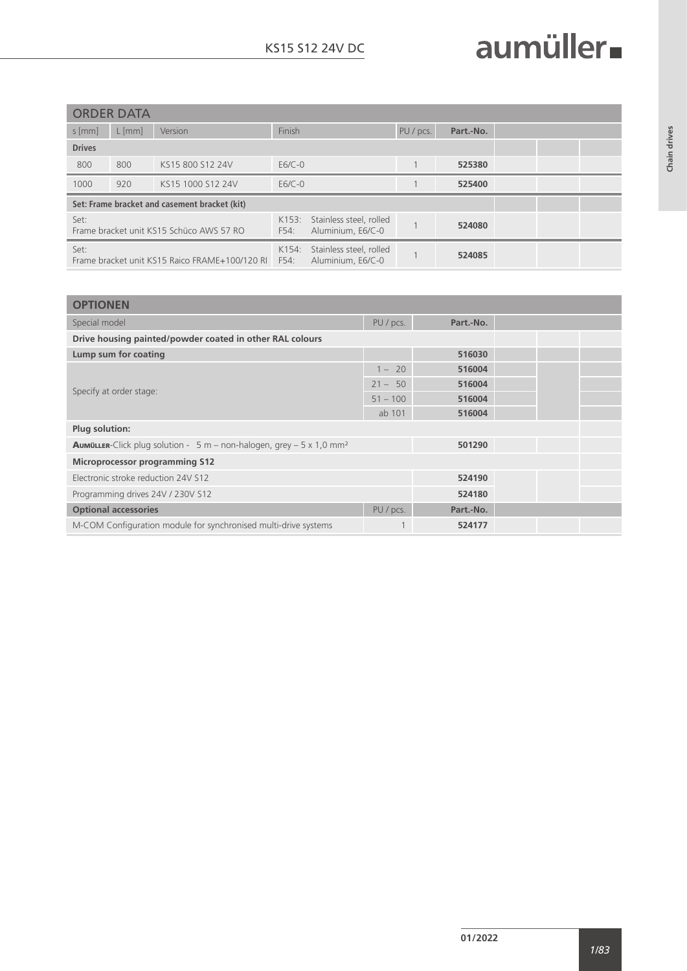| <b>ORDER DATA</b>                                      |          |                   |               |                                              |           |           |  |  |
|--------------------------------------------------------|----------|-------------------|---------------|----------------------------------------------|-----------|-----------|--|--|
| $s$ [mm]                                               | $L$ [mm] | Version           | Finish        |                                              | PU / pcs. | Part.-No. |  |  |
| <b>Drives</b>                                          |          |                   |               |                                              |           |           |  |  |
| 800                                                    | 800      | KS15 800 S12 24V  | $E6/C-0$      |                                              |           | 525380    |  |  |
| 1000                                                   | 920      | KS15 1000 S12 24V | $E6/C-0$      |                                              |           | 525400    |  |  |
| Set: Frame bracket and casement bracket (kit)          |          |                   |               |                                              |           |           |  |  |
| Set:<br>Frame bracket unit KS15 Schüco AWS 57 RO       |          |                   | K153:<br>F54: | Stainless steel, rolled<br>Aluminium, E6/C-0 |           | 524080    |  |  |
| Set:<br>Frame bracket unit KS15 Raico FRAME+100/120 RL |          |                   | K154:<br>F54: | Stainless steel, rolled<br>Aluminium, E6/C-0 |           | 524085    |  |  |

| <b>OPTIONEN</b>                                                                        |            |           |  |  |  |  |
|----------------------------------------------------------------------------------------|------------|-----------|--|--|--|--|
| Special model                                                                          | PU / pcs.  | Part.-No. |  |  |  |  |
| Drive housing painted/powder coated in other RAL colours                               |            |           |  |  |  |  |
| Lump sum for coating                                                                   |            | 516030    |  |  |  |  |
|                                                                                        |            | 516004    |  |  |  |  |
|                                                                                        |            | 516004    |  |  |  |  |
| Specify at order stage:                                                                | $51 - 100$ | 516004    |  |  |  |  |
|                                                                                        | ab 101     | 516004    |  |  |  |  |
| <b>Plug solution:</b>                                                                  |            |           |  |  |  |  |
| <b>AUMÜLLER-Click plug solution - 5 m – non-halogen, grey – 5 x 1,0 mm<sup>2</sup></b> |            | 501290    |  |  |  |  |
| <b>Microprocessor programming S12</b>                                                  |            |           |  |  |  |  |
| Electronic stroke reduction 24V S12                                                    |            | 524190    |  |  |  |  |
| Programming drives 24V / 230V S12                                                      | 524180     |           |  |  |  |  |
| <b>Optional accessories</b>                                                            | PU / pcs.  | Part.-No. |  |  |  |  |
| M-COM Configuration module for synchronised multi-drive systems                        |            | 524177    |  |  |  |  |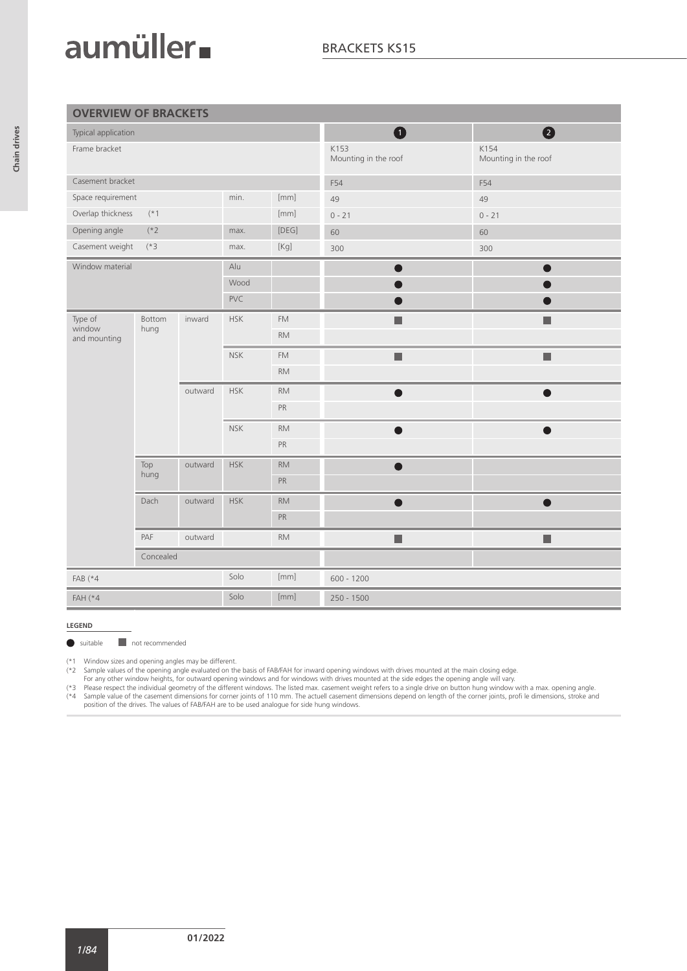| <b>OVERVIEW OF BRACKETS</b> |                |         |            |               |                              |                              |
|-----------------------------|----------------|---------|------------|---------------|------------------------------|------------------------------|
| Typical application         |                |         |            |               | $\bullet$                    | $\bullet$                    |
| Frame bracket               |                |         |            |               | K153<br>Mounting in the roof | K154<br>Mounting in the roof |
| Casement bracket            |                |         |            |               | F54                          | F54                          |
| Space requirement           |                |         | min.       | [mm]          | 49                           | 49                           |
| Overlap thickness           | $(*1$          |         |            | [mm]          | $0 - 21$                     | $0 - 21$                     |
| Opening angle               | $(*2)$         |         | max.       | [DEG]         | 60                           | 60                           |
| Casement weight             | $(*3)$         |         | max.       |               | 300                          | 300                          |
| Window material<br>Alu      |                |         |            |               | $\bullet$                    | $\bullet$                    |
|                             |                |         | Wood       |               |                              |                              |
|                             |                |         | PVC        |               |                              |                              |
| Type of                     | Bottom<br>hung | inward  | <b>HSK</b> | <b>FM</b>     | П                            | П                            |
| window<br>and mounting      |                |         |            | <b>RM</b>     |                              |                              |
|                             |                |         | <b>NSK</b> | <b>FM</b>     | П                            | П                            |
|                             |                |         |            | <b>RM</b>     |                              |                              |
|                             |                | outward | <b>HSK</b> | <b>RM</b>     |                              |                              |
|                             |                |         |            | ${\sf PR}$    |                              |                              |
|                             |                |         | <b>NSK</b> | <b>RM</b>     |                              |                              |
|                             |                |         |            | PR            |                              |                              |
|                             | Top            | outward | <b>HSK</b> | <b>RM</b>     |                              |                              |
|                             | hung           |         |            | ${\sf PR}$    |                              |                              |
|                             | Dach           | outward | <b>HSK</b> | <b>RM</b>     |                              |                              |
|                             |                |         |            | ${\sf PR}$    |                              |                              |
|                             | PAF            | outward |            | $\mathsf{RM}$ | п                            | п                            |
|                             | Concealed      |         |            |               |                              |                              |
| FAB (*4                     |                |         | Solo       | [mm]          | $600 - 1200$                 |                              |
| <b>FAH</b> (*4              |                |         | Solo       | [mm]          | $250 - 1500$                 |                              |

#### **LEGEND**

suitable not recommended

(\*1 Window sizes and opening angles may be different. (\*2 Sample values of the opening angle evaluated on the basis of FAB/FAH for inward opening windows with drives mounted at the main closing edge.

For any other window heights, for outward opening windows and for windows with drives mounted at the side edges the opening angle will vary.<br>The liest respect the individual geometry of the different windows. The listed ma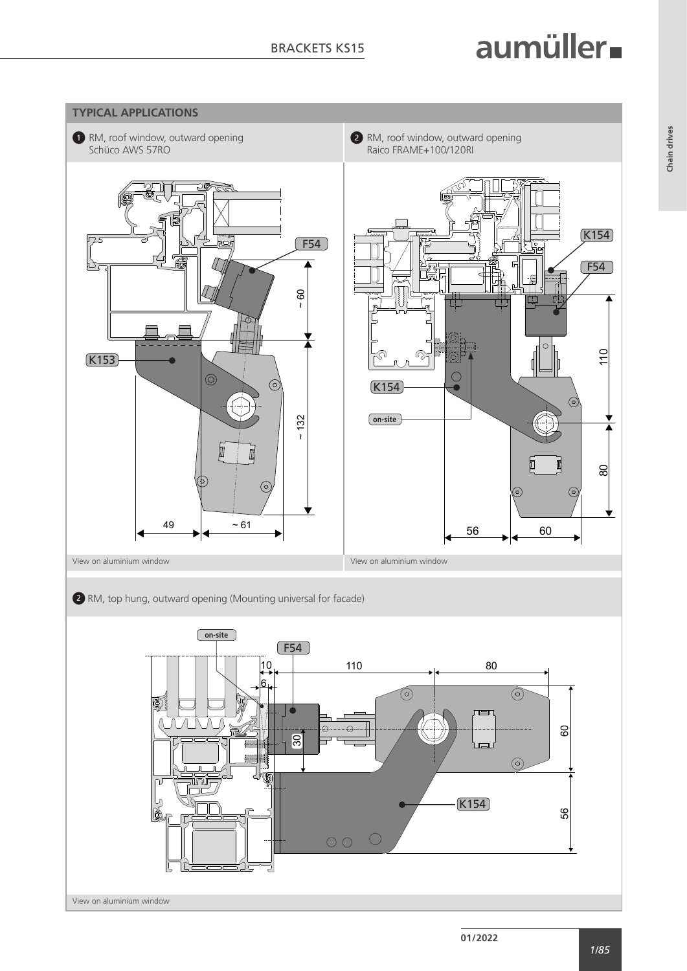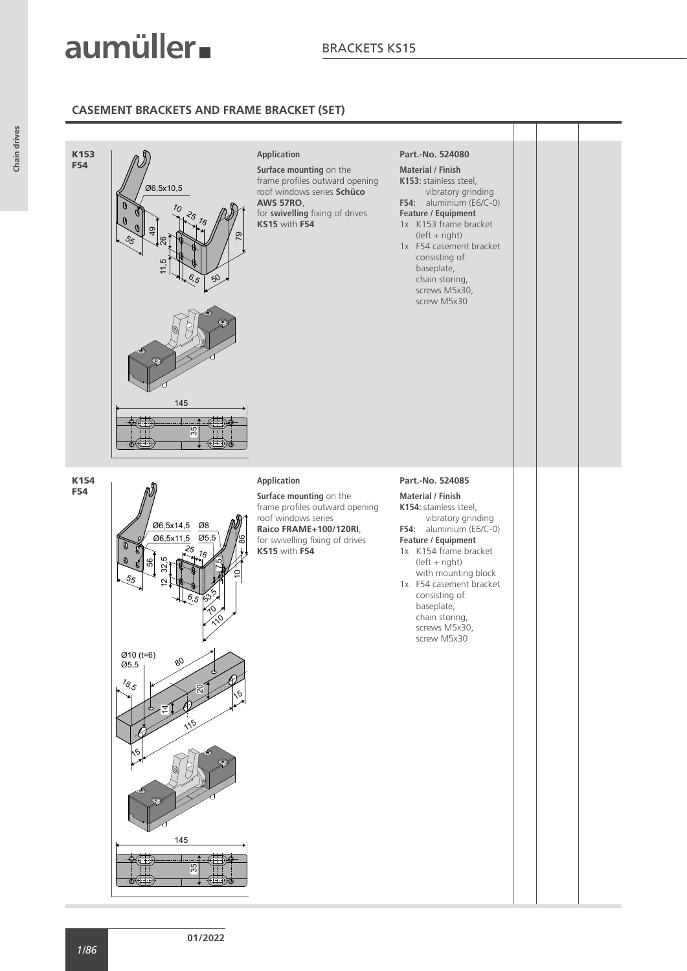### **CASEMENT BRACKETS AND FRAME BRACKET (SET)**



**01/2022**